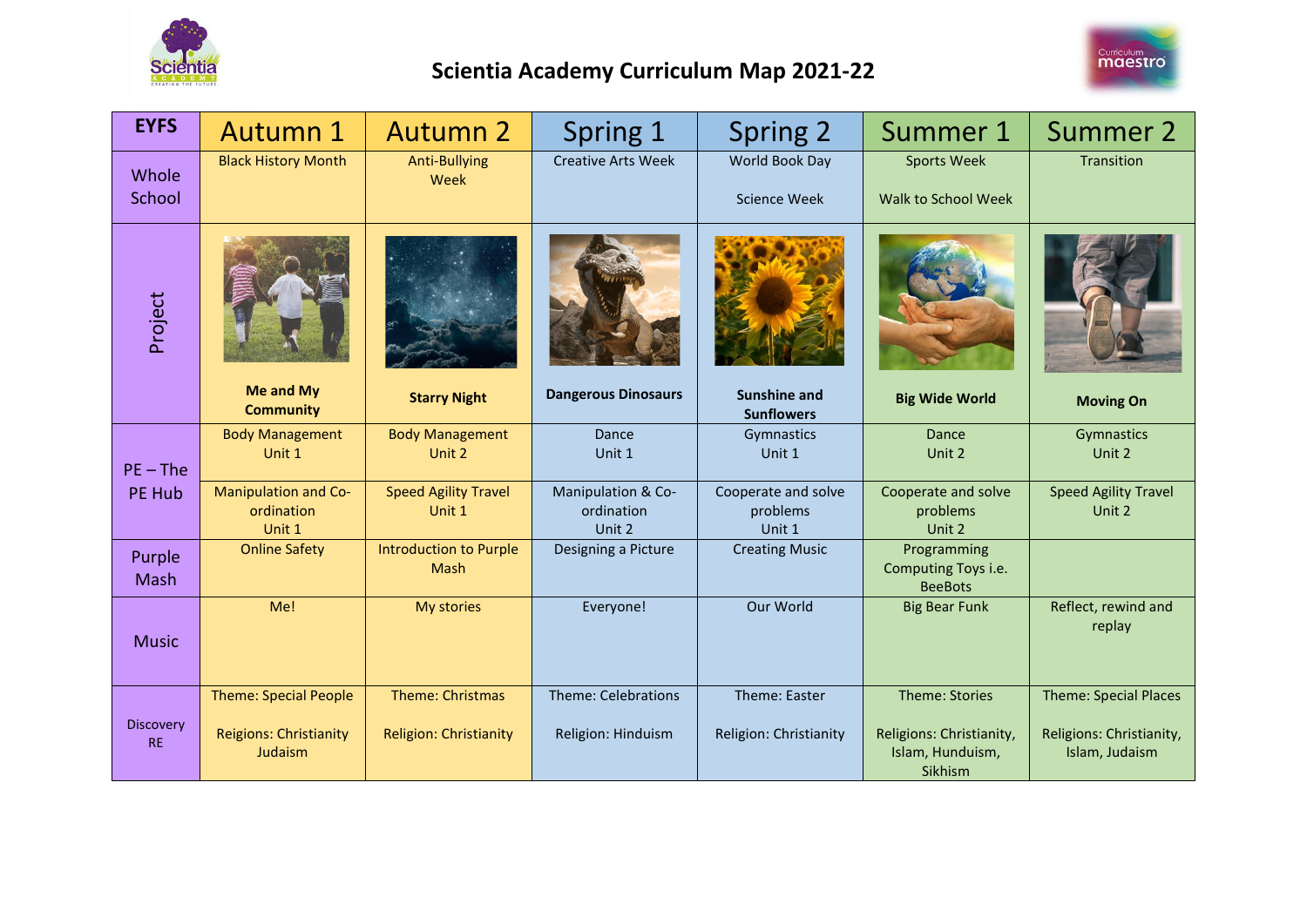



| <b>EYFS</b>                   | Autumn 1                                                                 | <b>Autumn 2</b>                                   | Spring 1                                         | Spring 2                                  | Summer 1                                                                  | Summer 2                                                                   |
|-------------------------------|--------------------------------------------------------------------------|---------------------------------------------------|--------------------------------------------------|-------------------------------------------|---------------------------------------------------------------------------|----------------------------------------------------------------------------|
| Whole<br>School               | <b>Black History Month</b>                                               | <b>Anti-Bullying</b><br>Week                      | <b>Creative Arts Week</b>                        | World Book Day<br><b>Science Week</b>     | <b>Sports Week</b><br>Walk to School Week                                 | Transition                                                                 |
| Project                       | Me and My<br><b>Community</b>                                            | <b>Starry Night</b>                               | <b>Dangerous Dinosaurs</b>                       | <b>Sunshine and</b><br><b>Sunflowers</b>  | <b>Big Wide World</b>                                                     | <b>Moving On</b>                                                           |
| $PE$ – The                    | <b>Body Management</b><br>Unit 1                                         | <b>Body Management</b><br>Unit 2                  | Dance<br>Unit 1                                  | Gymnastics<br>Unit 1                      | Dance<br>Unit 2                                                           | Gymnastics<br>Unit 2                                                       |
| <b>PE Hub</b>                 | <b>Manipulation and Co-</b><br>ordination<br>Unit 1                      | <b>Speed Agility Travel</b><br>Unit 1             | Manipulation & Co-<br>ordination<br>Unit 2       | Cooperate and solve<br>problems<br>Unit 1 | Cooperate and solve<br>problems<br>Unit 2                                 | <b>Speed Agility Travel</b><br>Unit 2                                      |
| Purple<br>Mash                | <b>Online Safety</b>                                                     | <b>Introduction to Purple</b><br><b>Mash</b>      | Designing a Picture                              | <b>Creating Music</b>                     | Programming<br>Computing Toys i.e.<br><b>BeeBots</b>                      |                                                                            |
| <b>Music</b>                  | Me!                                                                      | My stories                                        | Everyone!                                        | Our World                                 | <b>Big Bear Funk</b>                                                      | Reflect, rewind and<br>replay                                              |
| <b>Discovery</b><br><b>RE</b> | <b>Theme: Special People</b><br><b>Reigions: Christianity</b><br>Judaism | Theme: Christmas<br><b>Religion: Christianity</b> | <b>Theme: Celebrations</b><br>Religion: Hinduism | Theme: Easter<br>Religion: Christianity   | Theme: Stories<br>Religions: Christianity,<br>Islam, Hunduism,<br>Sikhism | <b>Theme: Special Places</b><br>Religions: Christianity,<br>Islam, Judaism |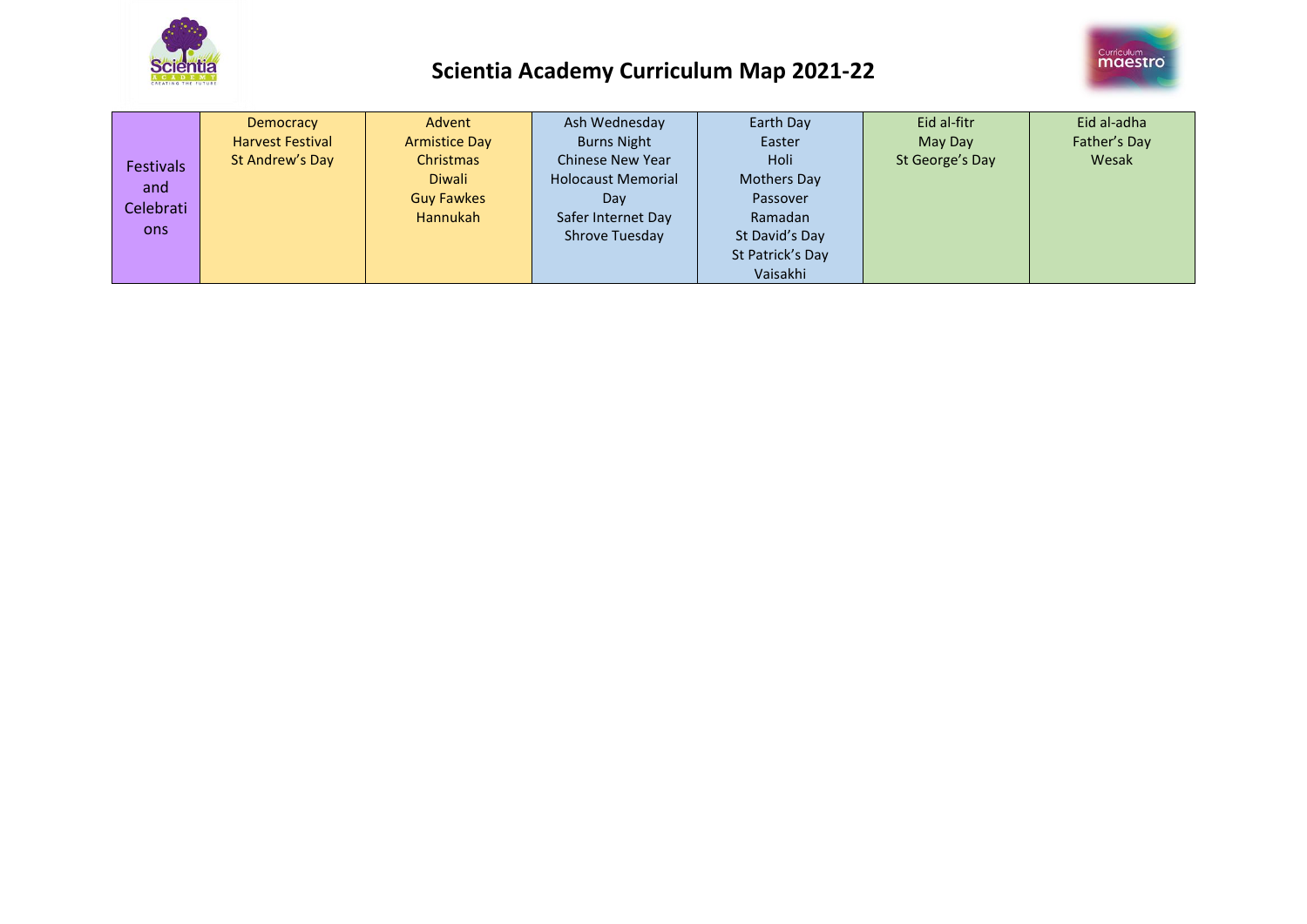



| <b>Festivals</b><br>and<br>Celebrati<br>ons | Democracy<br><b>Harvest Festival</b><br>St Andrew's Day | Advent<br><b>Armistice Day</b><br>Christmas<br>Diwali<br><b>Guy Fawkes</b><br>Hannukah | Ash Wednesday<br><b>Burns Night</b><br><b>Chinese New Year</b><br><b>Holocaust Memorial</b><br>Day<br>Safer Internet Day<br>Shrove Tuesday | Earth Day<br>Easter<br>Holi<br><b>Mothers Day</b><br>Passover<br>Ramadan<br>St David's Day<br>St Patrick's Day<br>Vaisakhi | Eid al-fitr<br>May Day<br>St George's Day | Eid al-adha<br>Father's Day<br>Wesak |
|---------------------------------------------|---------------------------------------------------------|----------------------------------------------------------------------------------------|--------------------------------------------------------------------------------------------------------------------------------------------|----------------------------------------------------------------------------------------------------------------------------|-------------------------------------------|--------------------------------------|
|---------------------------------------------|---------------------------------------------------------|----------------------------------------------------------------------------------------|--------------------------------------------------------------------------------------------------------------------------------------------|----------------------------------------------------------------------------------------------------------------------------|-------------------------------------------|--------------------------------------|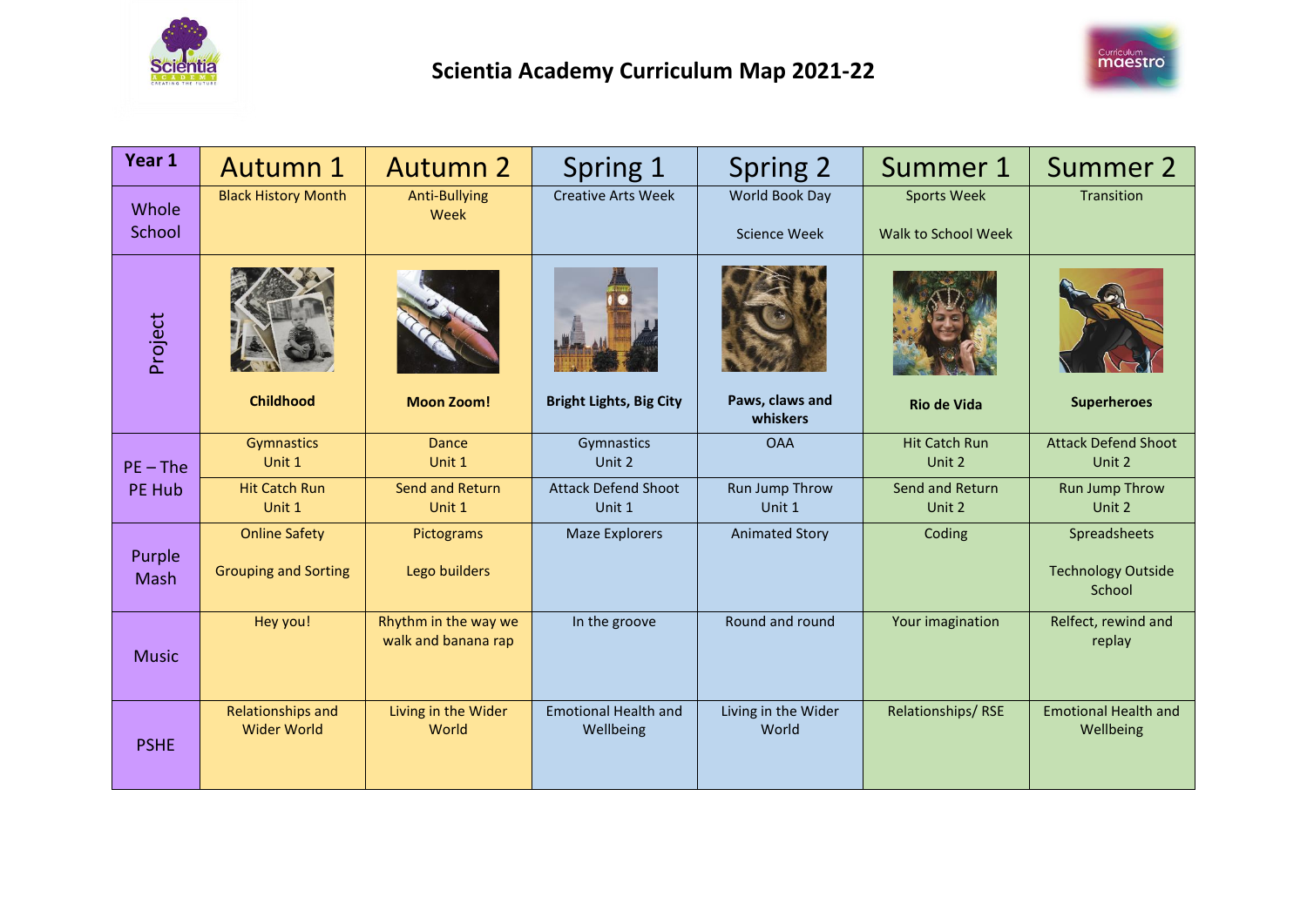



| Year 1          | <b>Autumn 1</b>                                     | <b>Autumn 2</b>                             | Spring 1                                 | Spring 2                              | Summer 1                                  | Summer 2                                            |
|-----------------|-----------------------------------------------------|---------------------------------------------|------------------------------------------|---------------------------------------|-------------------------------------------|-----------------------------------------------------|
| Whole<br>School | <b>Black History Month</b>                          | <b>Anti-Bullying</b><br>Week                | <b>Creative Arts Week</b>                | World Book Day<br><b>Science Week</b> | <b>Sports Week</b><br>Walk to School Week | Transition                                          |
| Project         | <b>Childhood</b>                                    | <b>Moon Zoom!</b>                           | <b>Bright Lights, Big City</b>           | Paws, claws and<br>whiskers           | <b>Rio de Vida</b>                        | <b>Superheroes</b>                                  |
| $PE$ – The      | Gymnastics<br>Unit 1                                | <b>Dance</b><br>Unit 1                      | Gymnastics<br>Unit 2                     | <b>OAA</b>                            | <b>Hit Catch Run</b><br>Unit 2            | <b>Attack Defend Shoot</b><br>Unit 2                |
| PE Hub          | <b>Hit Catch Run</b><br>Unit 1                      | Send and Return<br>Unit 1                   | <b>Attack Defend Shoot</b><br>Unit 1     | Run Jump Throw<br>Unit 1              | Send and Return<br>Unit 2                 | <b>Run Jump Throw</b><br>Unit 2                     |
| Purple<br>Mash  | <b>Online Safety</b><br><b>Grouping and Sorting</b> | Pictograms<br>Lego builders                 | <b>Maze Explorers</b>                    | <b>Animated Story</b>                 | Coding                                    | Spreadsheets<br><b>Technology Outside</b><br>School |
| <b>Music</b>    | Hey you!                                            | Rhythm in the way we<br>walk and banana rap | In the groove                            | Round and round                       | Your imagination                          | Relfect, rewind and<br>replay                       |
| <b>PSHE</b>     | Relationships and<br><b>Wider World</b>             | Living in the Wider<br>World                | <b>Emotional Health and</b><br>Wellbeing | Living in the Wider<br>World          | Relationships/RSE                         | <b>Emotional Health and</b><br>Wellbeing            |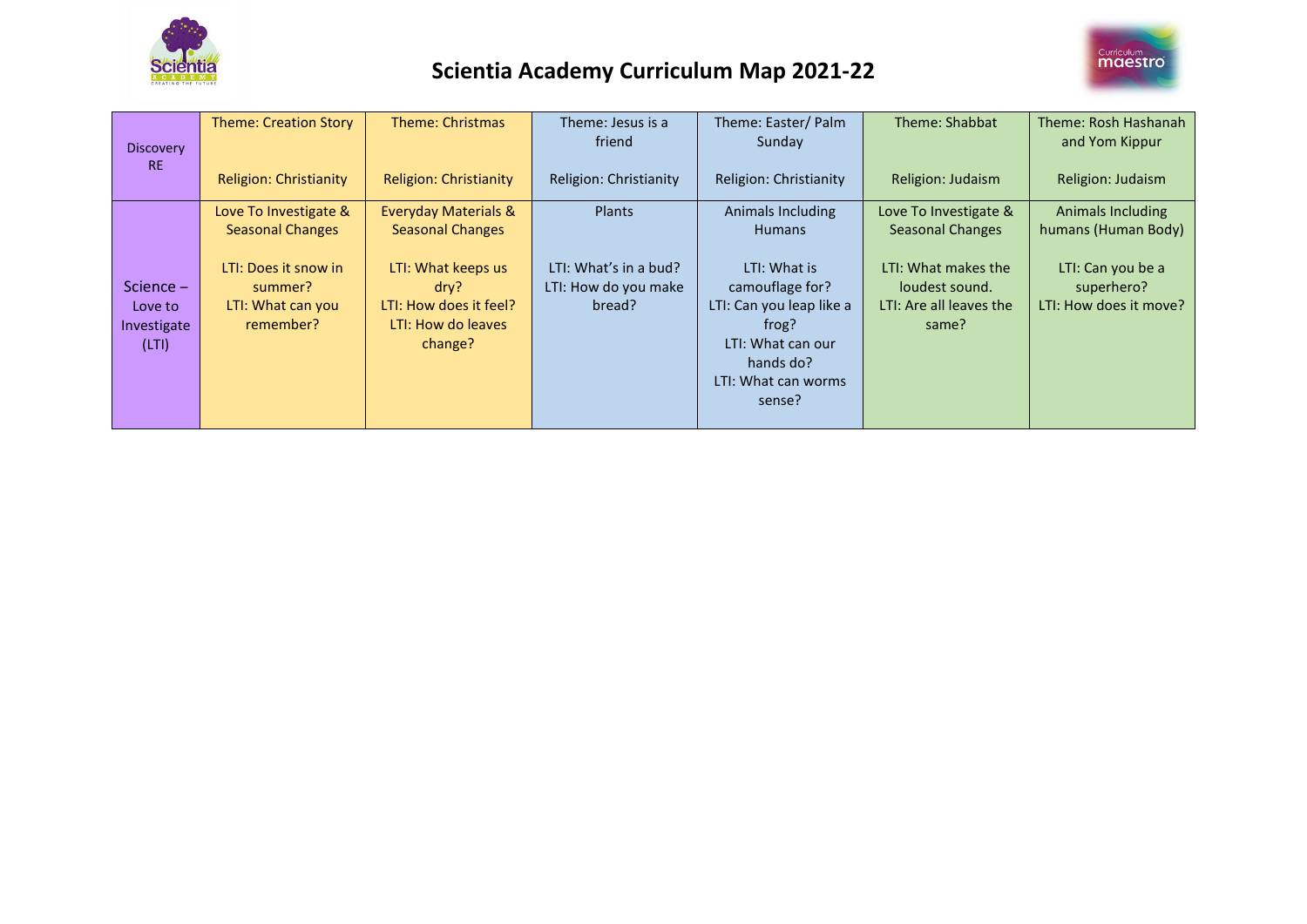



|                  | <b>Theme: Creation Story</b>  | Theme: Christmas                | Theme: Jesus is a      | Theme: Easter/ Palm            | Theme: Shabbat          | Theme: Rosh Hashanah     |
|------------------|-------------------------------|---------------------------------|------------------------|--------------------------------|-------------------------|--------------------------|
| <b>Discovery</b> |                               |                                 | friend                 | Sunday                         |                         | and Yom Kippur           |
| <b>RE</b>        | <b>Religion: Christianity</b> | <b>Religion: Christianity</b>   | Religion: Christianity | Religion: Christianity         | Religion: Judaism       | Religion: Judaism        |
|                  | Love To Investigate &         | <b>Everyday Materials &amp;</b> | Plants                 | Animals Including              | Love To Investigate &   | <b>Animals Including</b> |
|                  | <b>Seasonal Changes</b>       | <b>Seasonal Changes</b>         |                        | <b>Humans</b>                  | <b>Seasonal Changes</b> | humans (Human Body)      |
|                  | LTI: Does it snow in          | LTI: What keeps us              | LTI: What's in a bud?  | LTI: What is                   | LTI: What makes the     | LTI: Can you be a        |
| Science $-$      | summer?                       | $\frac{div}{?}$                 | LTI: How do you make   | camouflage for?                | loudest sound.          | superhero?               |
| Love to          | LTI: What can you             | LTI: How does it feel?          | bread?                 | LTI: Can you leap like a       | LTI: Are all leaves the | LTI: How does it move?   |
| Investigate      | remember?                     | LTI: How do leaves              |                        | frog?                          | same?                   |                          |
| (LTI)            |                               | change?                         |                        | LTI: What can our<br>hands do? |                         |                          |
|                  |                               |                                 |                        | LTI: What can worms            |                         |                          |
|                  |                               |                                 |                        | sense?                         |                         |                          |
|                  |                               |                                 |                        |                                |                         |                          |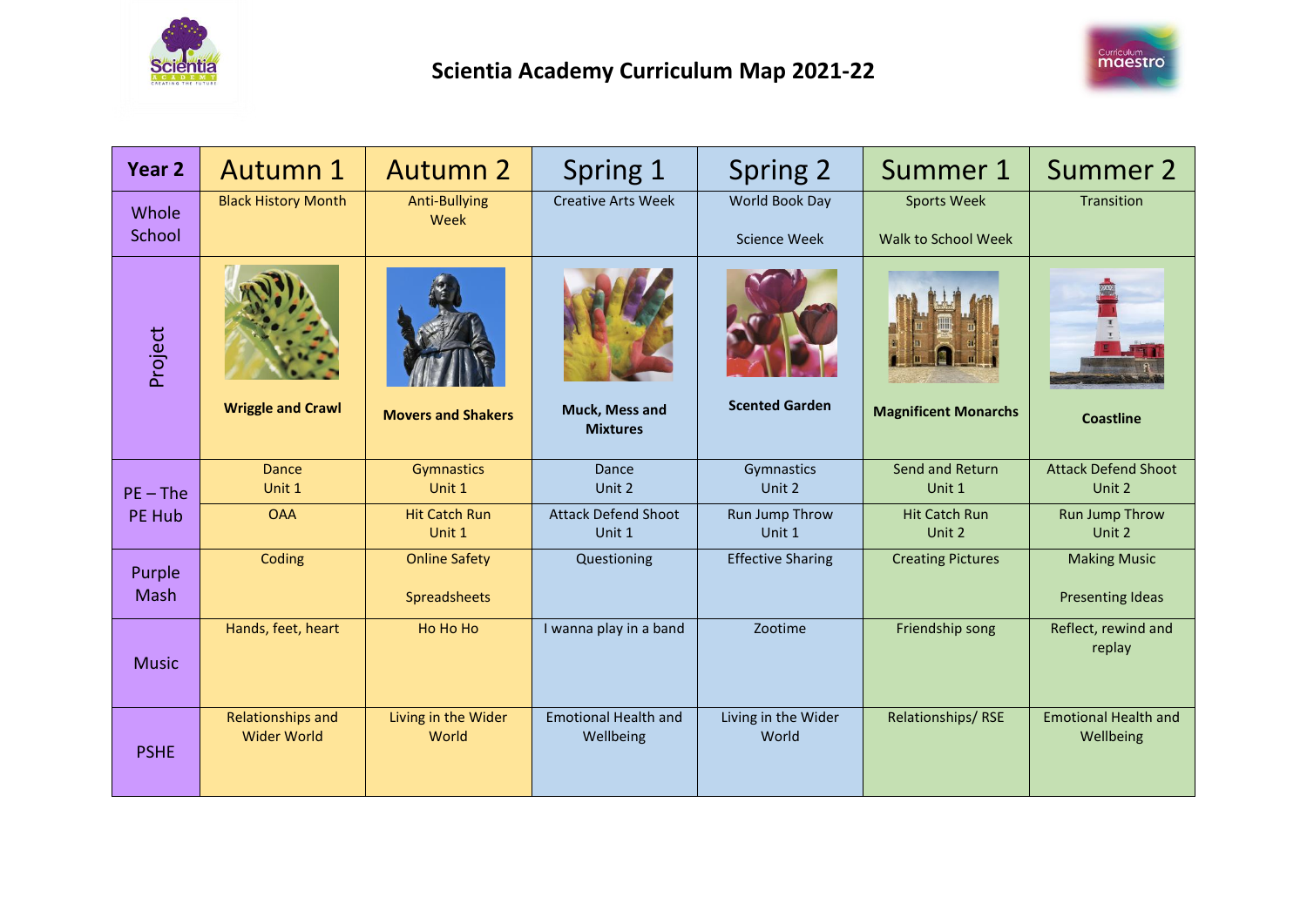



| <b>Year 2</b>         | Autumn 1                                       | <b>Autumn 2</b>                      | Spring 1                                 | Spring 2                              | Summer 1                                  | Summer 2                                       |
|-----------------------|------------------------------------------------|--------------------------------------|------------------------------------------|---------------------------------------|-------------------------------------------|------------------------------------------------|
| Whole<br>School       | <b>Black History Month</b>                     | <b>Anti-Bullying</b><br>Week         | <b>Creative Arts Week</b>                | World Book Day<br><b>Science Week</b> | <b>Sports Week</b><br>Walk to School Week | Transition                                     |
| Project               | <b>Wriggle and Crawl</b>                       | <b>Movers and Shakers</b>            | Muck, Mess and<br><b>Mixtures</b>        | <b>Scented Garden</b>                 | <b>Magnificent Monarchs</b>               | <b>Coastline</b>                               |
| $PE$ – The            | <b>Dance</b><br>Unit 1                         | Gymnastics<br>Unit 1                 | Dance<br>Unit 2                          | Gymnastics<br>Unit 2                  | Send and Return<br>Unit 1                 | <b>Attack Defend Shoot</b><br>Unit 2           |
| PE Hub                | <b>OAA</b>                                     | <b>Hit Catch Run</b><br>Unit 1       | <b>Attack Defend Shoot</b><br>Unit 1     | Run Jump Throw<br>Unit 1              | <b>Hit Catch Run</b><br>Unit 2            | <b>Run Jump Throw</b><br>Unit 2                |
| Purple<br><b>Mash</b> | Coding                                         | <b>Online Safety</b><br>Spreadsheets | Questioning                              | <b>Effective Sharing</b>              | <b>Creating Pictures</b>                  | <b>Making Music</b><br><b>Presenting Ideas</b> |
| <b>Music</b>          | Hands, feet, heart                             | Ho Ho Ho                             | I wanna play in a band                   | Zootime                               | Friendship song                           | Reflect, rewind and<br>replay                  |
| <b>PSHE</b>           | <b>Relationships and</b><br><b>Wider World</b> | Living in the Wider<br>World         | <b>Emotional Health and</b><br>Wellbeing | Living in the Wider<br>World          | Relationships/RSE                         | <b>Emotional Health and</b><br>Wellbeing       |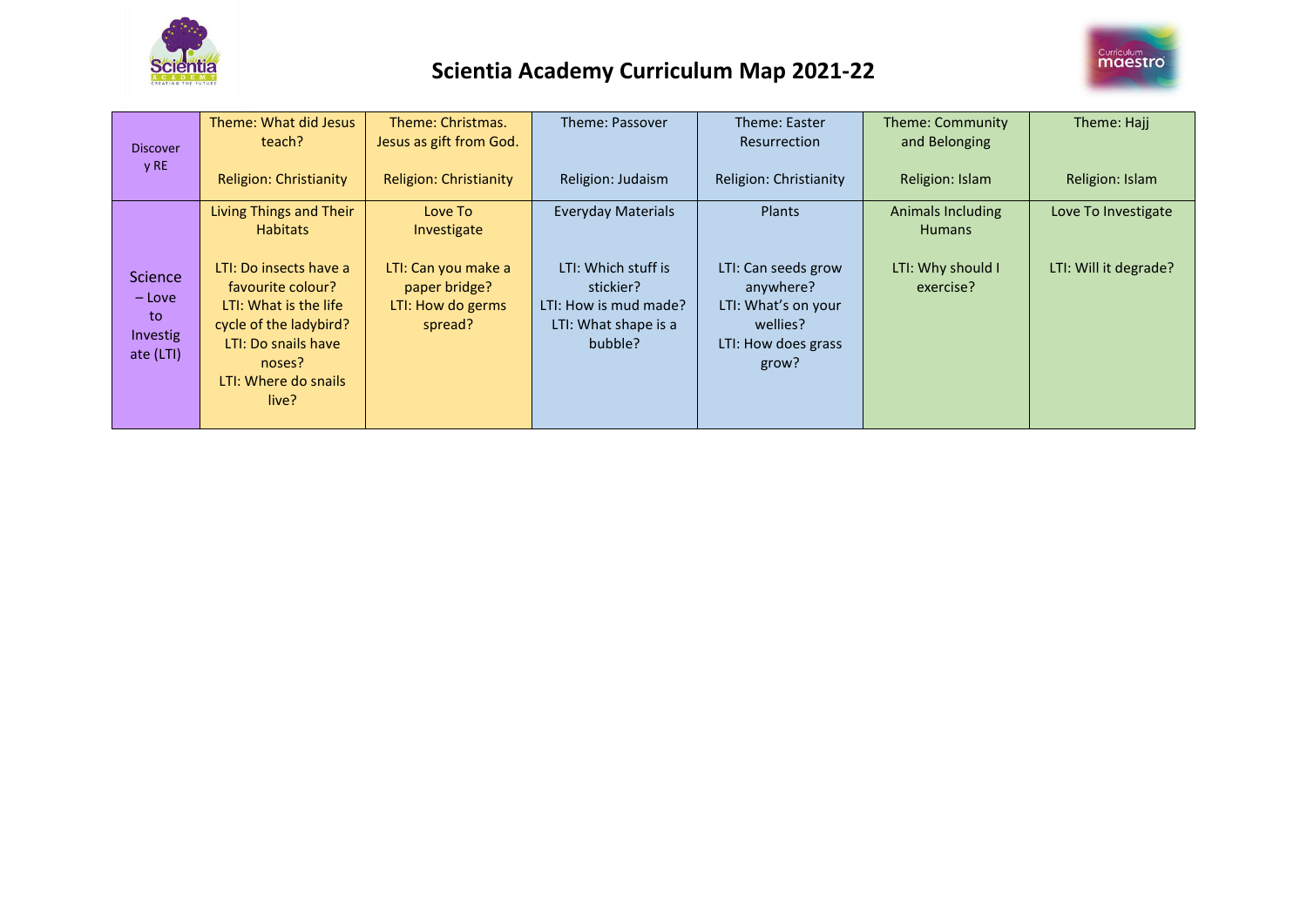



| <b>Discover</b><br>y RE                          | Theme: What did Jesus<br>teach?                                                                                                                                  | Theme: Christmas.<br>Jesus as gift from God.                         | Theme: Passover                                                                              | Theme: Easter<br><b>Resurrection</b>                                                                | Theme: Community<br>and Belonging  | Theme: Hajj           |
|--------------------------------------------------|------------------------------------------------------------------------------------------------------------------------------------------------------------------|----------------------------------------------------------------------|----------------------------------------------------------------------------------------------|-----------------------------------------------------------------------------------------------------|------------------------------------|-----------------------|
|                                                  | <b>Religion: Christianity</b>                                                                                                                                    | <b>Religion: Christianity</b>                                        | Religion: Judaism                                                                            | Religion: Christianity                                                                              | Religion: Islam                    | Religion: Islam       |
|                                                  | Living Things and Their<br><b>Habitats</b>                                                                                                                       | Love To<br>Investigate                                               | <b>Everyday Materials</b>                                                                    | <b>Plants</b>                                                                                       | Animals Including<br><b>Humans</b> | Love To Investigate   |
| Science<br>– Love<br>to<br>Investig<br>ate (LTI) | LTI: Do insects have a<br>favourite colour?<br>LTI: What is the life<br>cycle of the ladybird?<br>LTI: Do snails have<br>noses?<br>LTI: Where do snails<br>live? | LTI: Can you make a<br>paper bridge?<br>LTI: How do germs<br>spread? | LTI: Which stuff is<br>stickier?<br>LTI: How is mud made?<br>LTI: What shape is a<br>bubble? | LTI: Can seeds grow<br>anywhere?<br>LTI: What's on your<br>wellies?<br>LTI: How does grass<br>grow? | LTI: Why should I<br>exercise?     | LTI: Will it degrade? |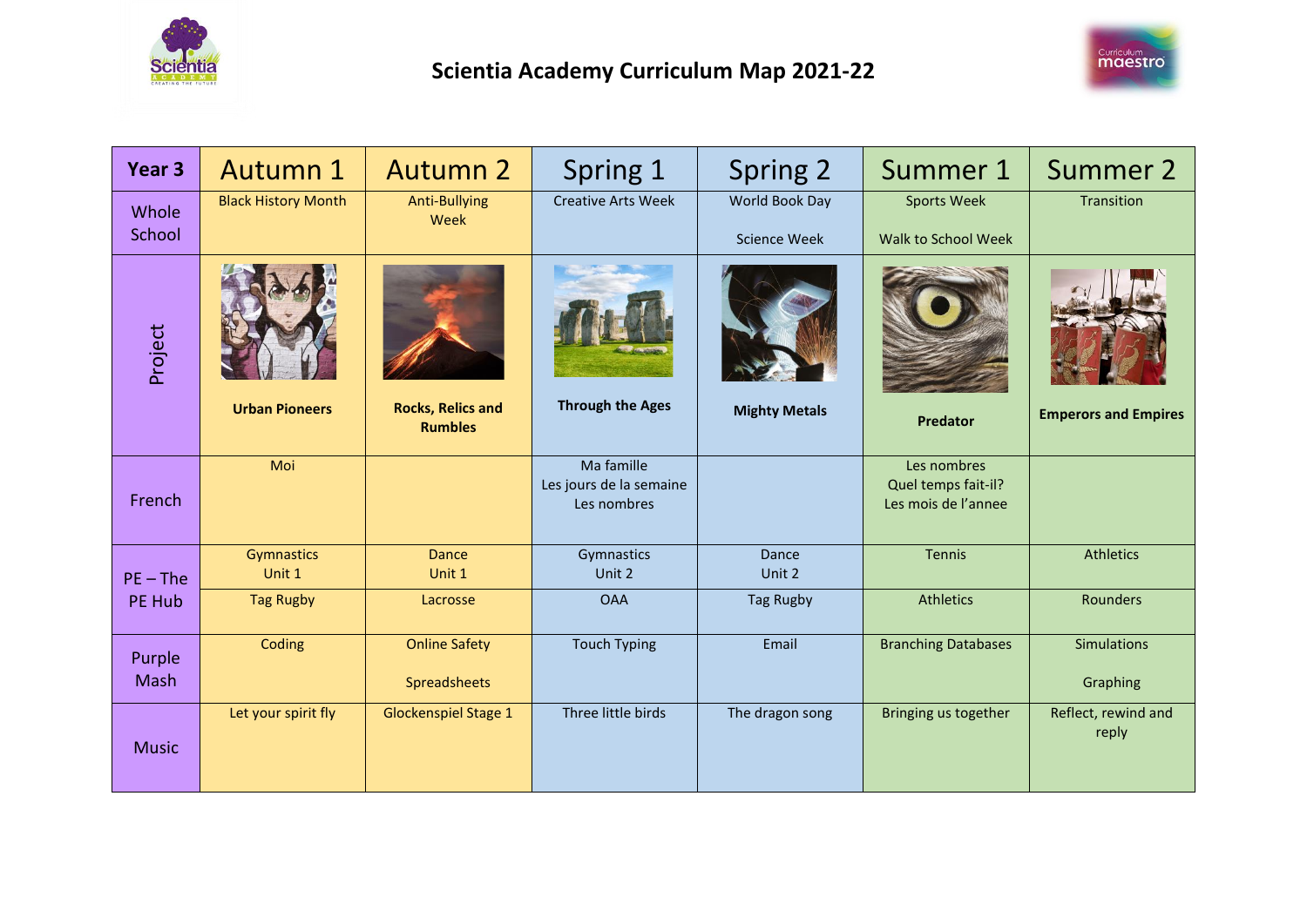



| Year <sub>3</sub> | Autumn 1                   | <b>Autumn 2</b>                            | Spring 1                                             | Spring 2                              | Summer 1                                                  | Summer 2                       |
|-------------------|----------------------------|--------------------------------------------|------------------------------------------------------|---------------------------------------|-----------------------------------------------------------|--------------------------------|
| Whole<br>School   | <b>Black History Month</b> | <b>Anti-Bullying</b><br>Week               | <b>Creative Arts Week</b>                            | World Book Day<br><b>Science Week</b> | <b>Sports Week</b><br>Walk to School Week                 | Transition                     |
| Project           | <b>Urban Pioneers</b>      | <b>Rocks, Relics and</b><br><b>Rumbles</b> | <b>Through the Ages</b>                              | <b>Mighty Metals</b>                  | <b>Predator</b>                                           | <b>Emperors and Empires</b>    |
| French            | Moi                        |                                            | Ma famille<br>Les jours de la semaine<br>Les nombres |                                       | Les nombres<br>Quel temps fait-il?<br>Les mois de l'annee |                                |
| $PE - The$        | Gymnastics<br>Unit 1       | <b>Dance</b><br>Unit 1                     | Gymnastics<br>Unit 2                                 | Dance<br>Unit 2                       | Tennis                                                    | <b>Athletics</b>               |
| PE Hub            | <b>Tag Rugby</b>           | Lacrosse                                   | <b>OAA</b>                                           | <b>Tag Rugby</b>                      | <b>Athletics</b>                                          | Rounders                       |
| Purple<br>Mash    | Coding                     | <b>Online Safety</b><br>Spreadsheets       | <b>Touch Typing</b>                                  | Email                                 | <b>Branching Databases</b>                                | <b>Simulations</b><br>Graphing |
| <b>Music</b>      | Let your spirit fly        | <b>Glockenspiel Stage 1</b>                | Three little birds                                   | The dragon song                       | Bringing us together                                      | Reflect, rewind and<br>reply   |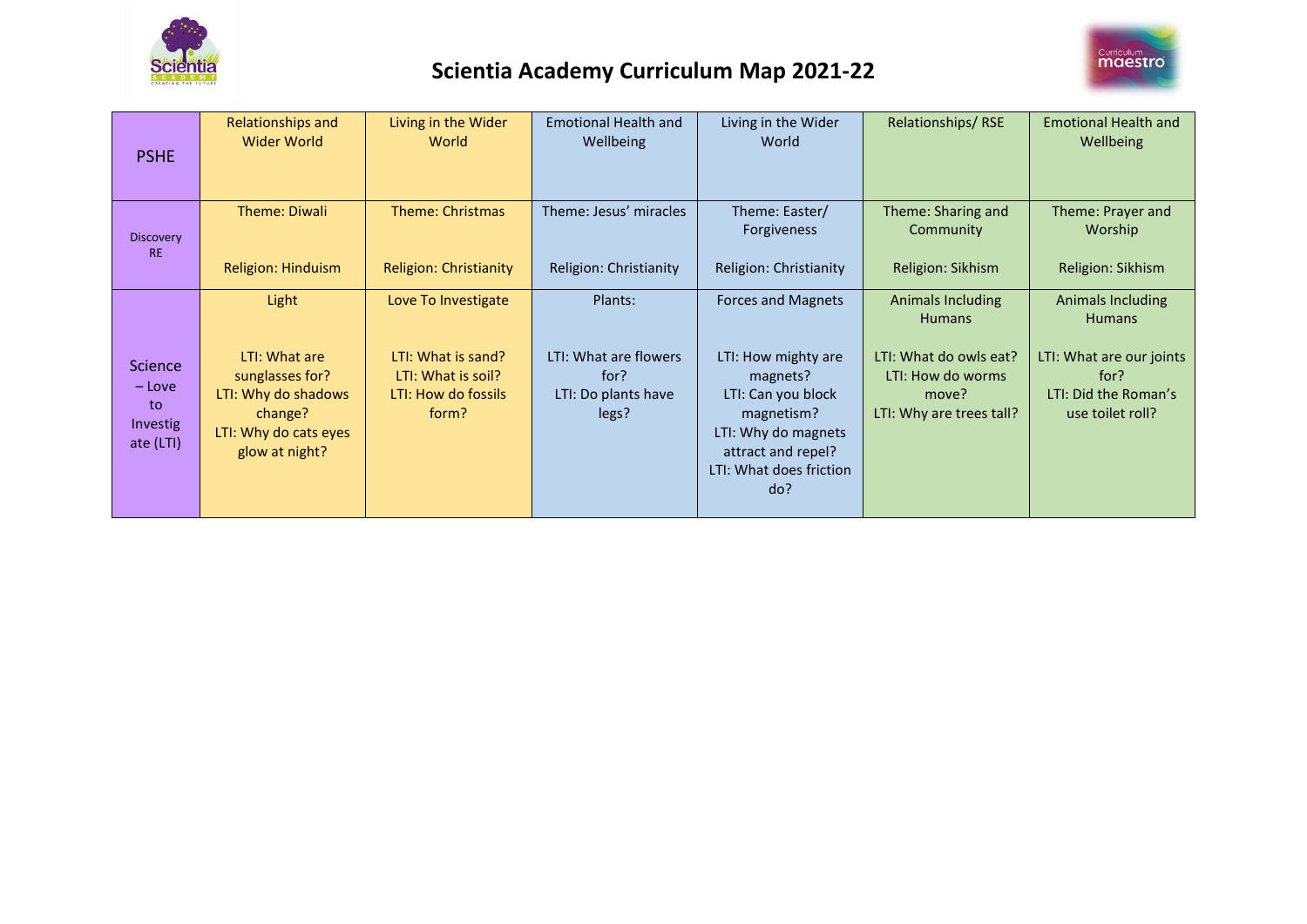



| <b>PSHE</b>                                               | <b>Relationships and</b><br>Wider World                                                                                | Living in the Wider<br>World                                                                    | <b>Emotional Health and</b><br>Wellbeing                                 | Living in the Wider<br>World                                                                                                                                                    | Relationships/RSE                                                                                                      | <b>Emotional Health and</b><br>Wellbeing                                                                           |
|-----------------------------------------------------------|------------------------------------------------------------------------------------------------------------------------|-------------------------------------------------------------------------------------------------|--------------------------------------------------------------------------|---------------------------------------------------------------------------------------------------------------------------------------------------------------------------------|------------------------------------------------------------------------------------------------------------------------|--------------------------------------------------------------------------------------------------------------------|
| Discovery<br><b>RE</b>                                    | Theme: Diwali<br>Religion: Hinduism                                                                                    | Theme: Christmas<br><b>Religion: Christianity</b>                                               | Theme: Jesus' miracles<br>Religion: Christianity                         | Theme: Easter/<br><b>Forgiveness</b><br>Religion: Christianity                                                                                                                  | Theme: Sharing and<br>Community<br>Religion: Sikhism                                                                   | Theme: Prayer and<br>Worship<br>Religion: Sikhism                                                                  |
| <b>Science</b><br>$-$ Love<br>to<br>Investig<br>ate (LTI) | Light<br>LTI: What are<br>sunglasses for?<br>LTI: Why do shadows<br>change?<br>LTI: Why do cats eyes<br>glow at night? | Love To Investigate<br>LTI: What is sand?<br>LTI: What is soil?<br>LTI: How do fossils<br>form? | Plants:<br>LTI: What are flowers<br>for?<br>LTI: Do plants have<br>legs? | <b>Forces and Magnets</b><br>LTI: How mighty are<br>magnets?<br>LTI: Can you block<br>magnetism?<br>LTI: Why do magnets<br>attract and repel?<br>LTI: What does friction<br>do? | Animals Including<br><b>Humans</b><br>LTI: What do owls eat?<br>LTI: How do worms<br>move?<br>LTI: Why are trees tall? | Animals Including<br><b>Humans</b><br>LTI: What are our joints<br>for?<br>LTI: Did the Roman's<br>use toilet roll? |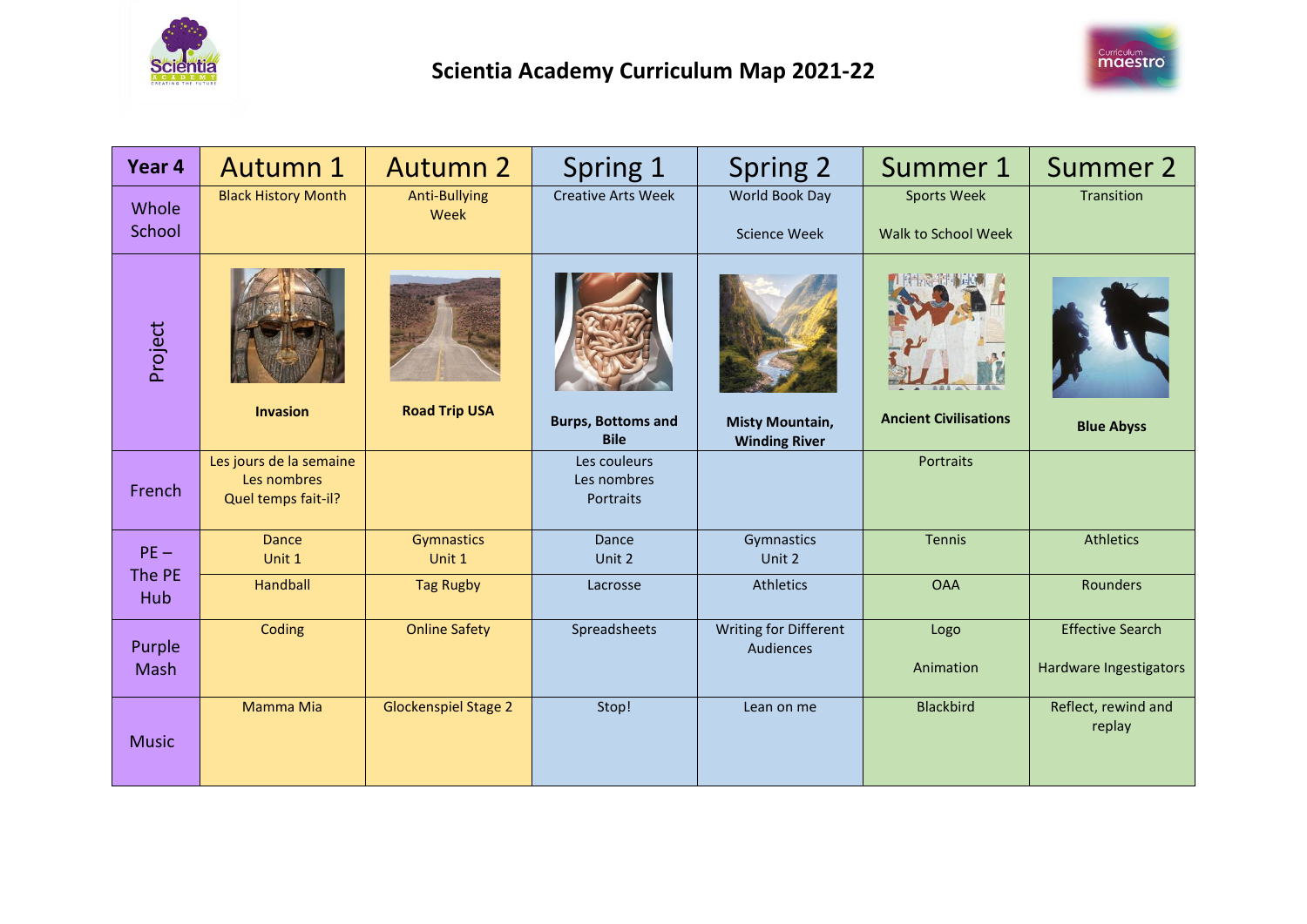



| Year <sub>4</sub> | <b>Autumn 1</b>                                               | <b>Autumn 2</b>              | Spring 1                                 | Spring 2                                       | Summer 1                                  | Summer 2                                          |
|-------------------|---------------------------------------------------------------|------------------------------|------------------------------------------|------------------------------------------------|-------------------------------------------|---------------------------------------------------|
| Whole<br>School   | <b>Black History Month</b>                                    | <b>Anti-Bullying</b><br>Week | <b>Creative Arts Week</b>                | World Book Day<br><b>Science Week</b>          | <b>Sports Week</b><br>Walk to School Week | Transition                                        |
| Project           | <b>Invasion</b>                                               | <b>Road Trip USA</b>         | <b>Burps, Bottoms and</b><br><b>Bile</b> | <b>Misty Mountain,</b><br><b>Winding River</b> | <b>Ancient Civilisations</b>              | <b>Blue Abyss</b>                                 |
| French            | Les jours de la semaine<br>Les nombres<br>Quel temps fait-il? |                              | Les couleurs<br>Les nombres<br>Portraits |                                                | Portraits                                 |                                                   |
| $PE -$            | <b>Dance</b><br>Unit 1                                        | Gymnastics<br>Unit 1         | Dance<br>Unit 2                          | Gymnastics<br>Unit 2                           | <b>Tennis</b>                             | <b>Athletics</b>                                  |
| The PE<br>Hub     | Handball                                                      | <b>Tag Rugby</b>             | Lacrosse                                 | <b>Athletics</b>                               | <b>OAA</b>                                | Rounders                                          |
| Purple<br>Mash    | Coding                                                        | <b>Online Safety</b>         | Spreadsheets                             | Writing for Different<br>Audiences             | Logo<br>Animation                         | <b>Effective Search</b><br>Hardware Ingestigators |
| <b>Music</b>      | Mamma Mia                                                     | <b>Glockenspiel Stage 2</b>  | Stop!                                    | Lean on me                                     | <b>Blackbird</b>                          | Reflect, rewind and<br>replay                     |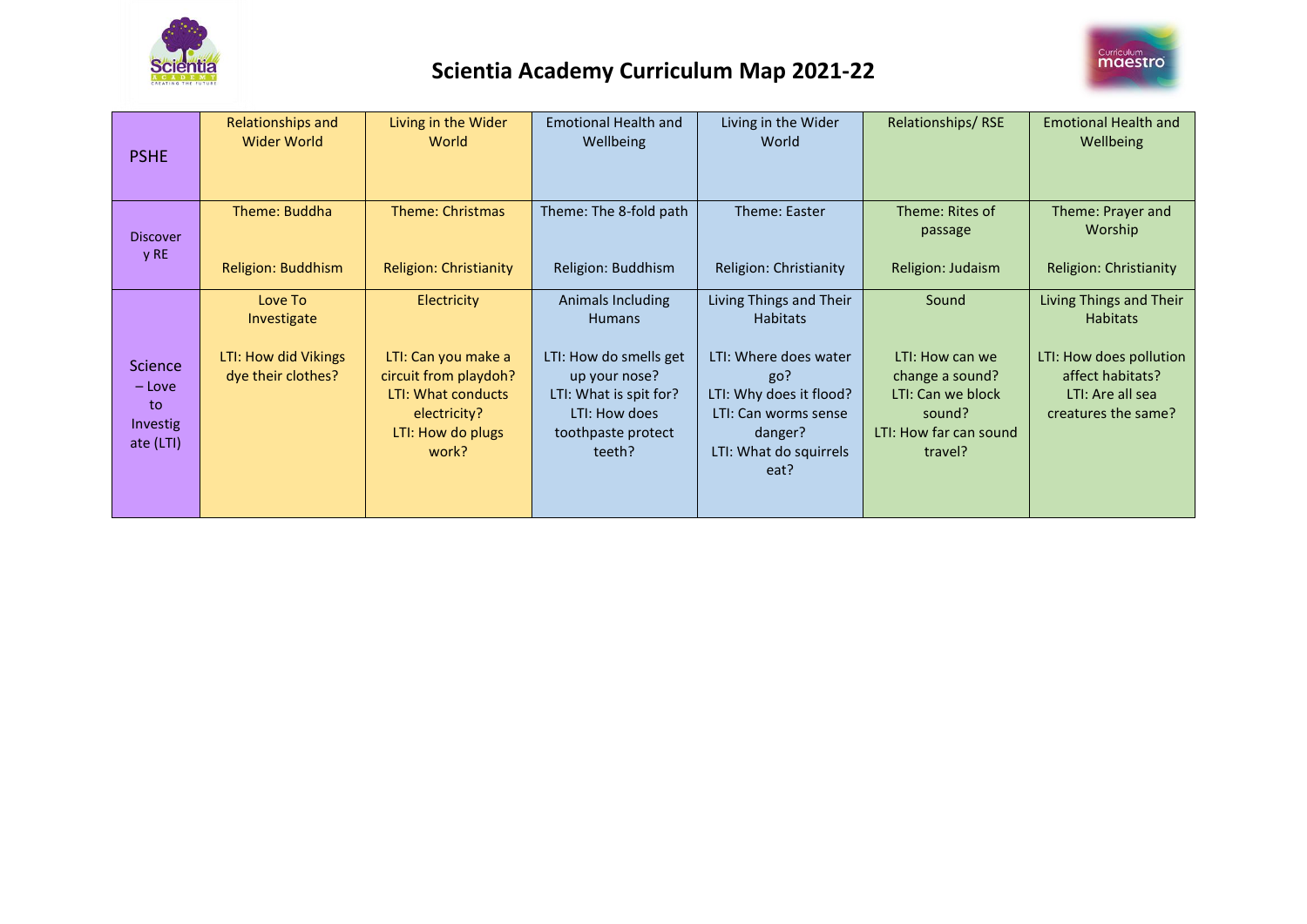



| <b>PSHE</b>                                               | Relationships and<br>Wider World                                     | Living in the Wider<br>World                                                                                                           | <b>Emotional Health and</b><br>Wellbeing                                                                                                                 | Living in the Wider<br>World                                                                                                                                               | Relationships/RSE                                                                                               | <b>Emotional Health and</b><br>Wellbeing                                                                                             |
|-----------------------------------------------------------|----------------------------------------------------------------------|----------------------------------------------------------------------------------------------------------------------------------------|----------------------------------------------------------------------------------------------------------------------------------------------------------|----------------------------------------------------------------------------------------------------------------------------------------------------------------------------|-----------------------------------------------------------------------------------------------------------------|--------------------------------------------------------------------------------------------------------------------------------------|
| <b>Discover</b><br>y RE                                   | Theme: Buddha<br>Religion: Buddhism                                  | Theme: Christmas<br><b>Religion: Christianity</b>                                                                                      | Theme: The 8-fold path<br>Religion: Buddhism                                                                                                             | Theme: Easter<br>Religion: Christianity                                                                                                                                    | Theme: Rites of<br>passage<br>Religion: Judaism                                                                 | Theme: Prayer and<br>Worship<br><b>Religion: Christianity</b>                                                                        |
| <b>Science</b><br>$-$ Love<br>to<br>Investig<br>ate (LTI) | Love To<br>Investigate<br>LTI: How did Vikings<br>dye their clothes? | Electricity<br>LTI: Can you make a<br>circuit from playdoh?<br><b>LTI: What conducts</b><br>electricity?<br>LTI: How do plugs<br>work? | Animals Including<br><b>Humans</b><br>LTI: How do smells get<br>up your nose?<br>LTI: What is spit for?<br>LTI: How does<br>toothpaste protect<br>teeth? | Living Things and Their<br><b>Habitats</b><br>LTI: Where does water<br>go?<br>LTI: Why does it flood?<br>LTI: Can worms sense<br>danger?<br>LTI: What do squirrels<br>eat? | Sound<br>LTI: How can we<br>change a sound?<br>LTI: Can we block<br>sound?<br>LTI: How far can sound<br>travel? | Living Things and Their<br><b>Habitats</b><br>LTI: How does pollution<br>affect habitats?<br>LTI: Are all sea<br>creatures the same? |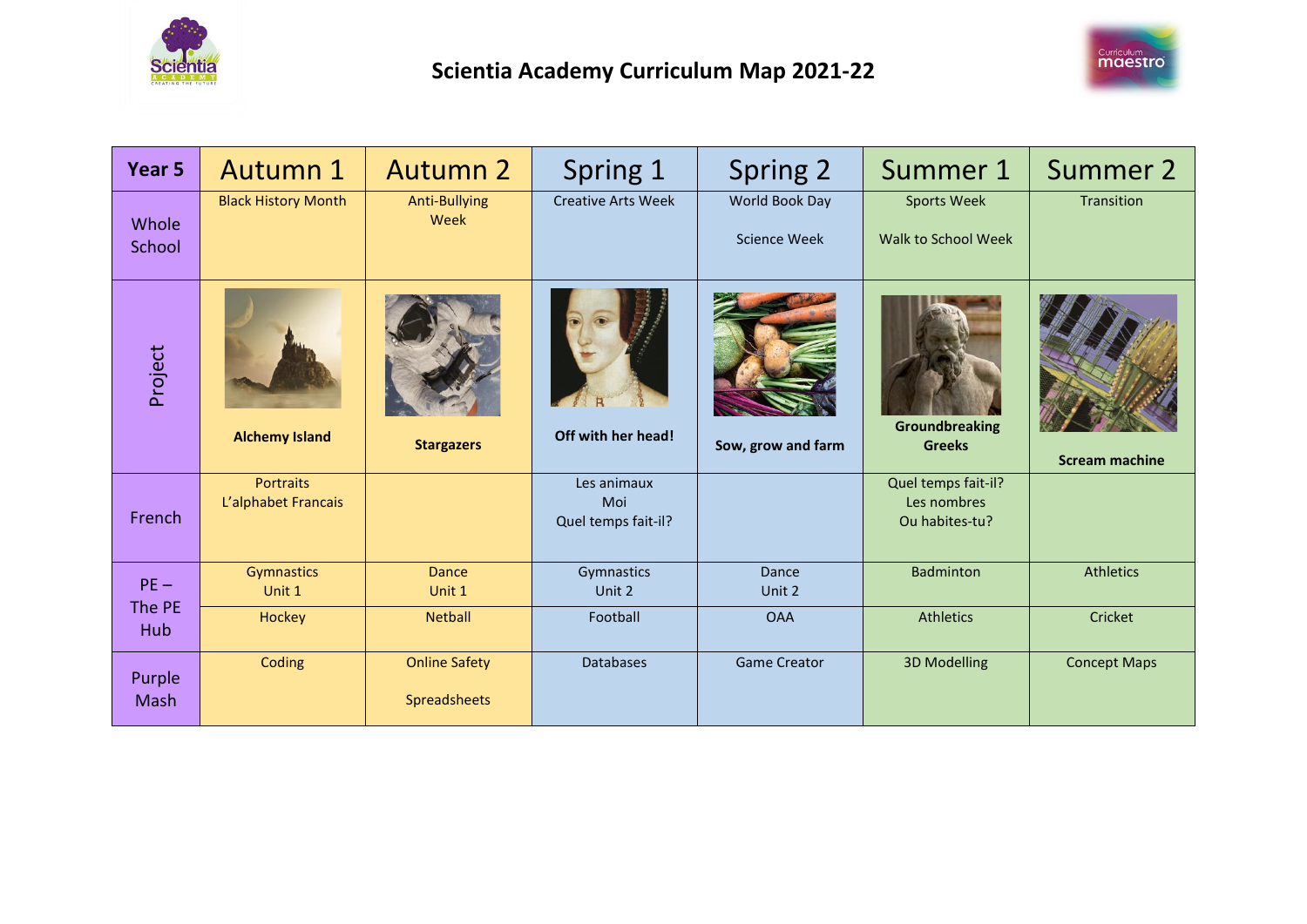



| Year 5          | <b>Autumn 1</b>                         | <b>Autumn 2</b>                      | Spring 1                                  | Spring 2                              | Summer 1                                             | <b>Summer 2</b>       |
|-----------------|-----------------------------------------|--------------------------------------|-------------------------------------------|---------------------------------------|------------------------------------------------------|-----------------------|
| Whole<br>School | <b>Black History Month</b>              | Anti-Bullying<br>Week                | <b>Creative Arts Week</b>                 | World Book Day<br><b>Science Week</b> | <b>Sports Week</b><br>Walk to School Week            | Transition            |
| Project         | <b>Alchemy Island</b>                   | <b>Stargazers</b>                    | Off with her head!                        | Sow, grow and farm                    | <b>Groundbreaking</b><br><b>Greeks</b>               | <b>Scream machine</b> |
| French          | <b>Portraits</b><br>L'alphabet Francais |                                      | Les animaux<br>Moi<br>Quel temps fait-il? |                                       | Quel temps fait-il?<br>Les nombres<br>Ou habites-tu? |                       |
| $PE -$          | Gymnastics<br>Unit 1                    | Dance<br>Unit 1                      | Gymnastics<br>Unit 2                      | Dance<br>Unit 2                       | <b>Badminton</b>                                     | <b>Athletics</b>      |
| The PE<br>Hub   | Hockey                                  | <b>Netball</b>                       | Football                                  | <b>OAA</b>                            | <b>Athletics</b>                                     | Cricket               |
| Purple<br>Mash  | Coding                                  | <b>Online Safety</b><br>Spreadsheets | <b>Databases</b>                          | <b>Game Creator</b>                   | <b>3D Modelling</b>                                  | <b>Concept Maps</b>   |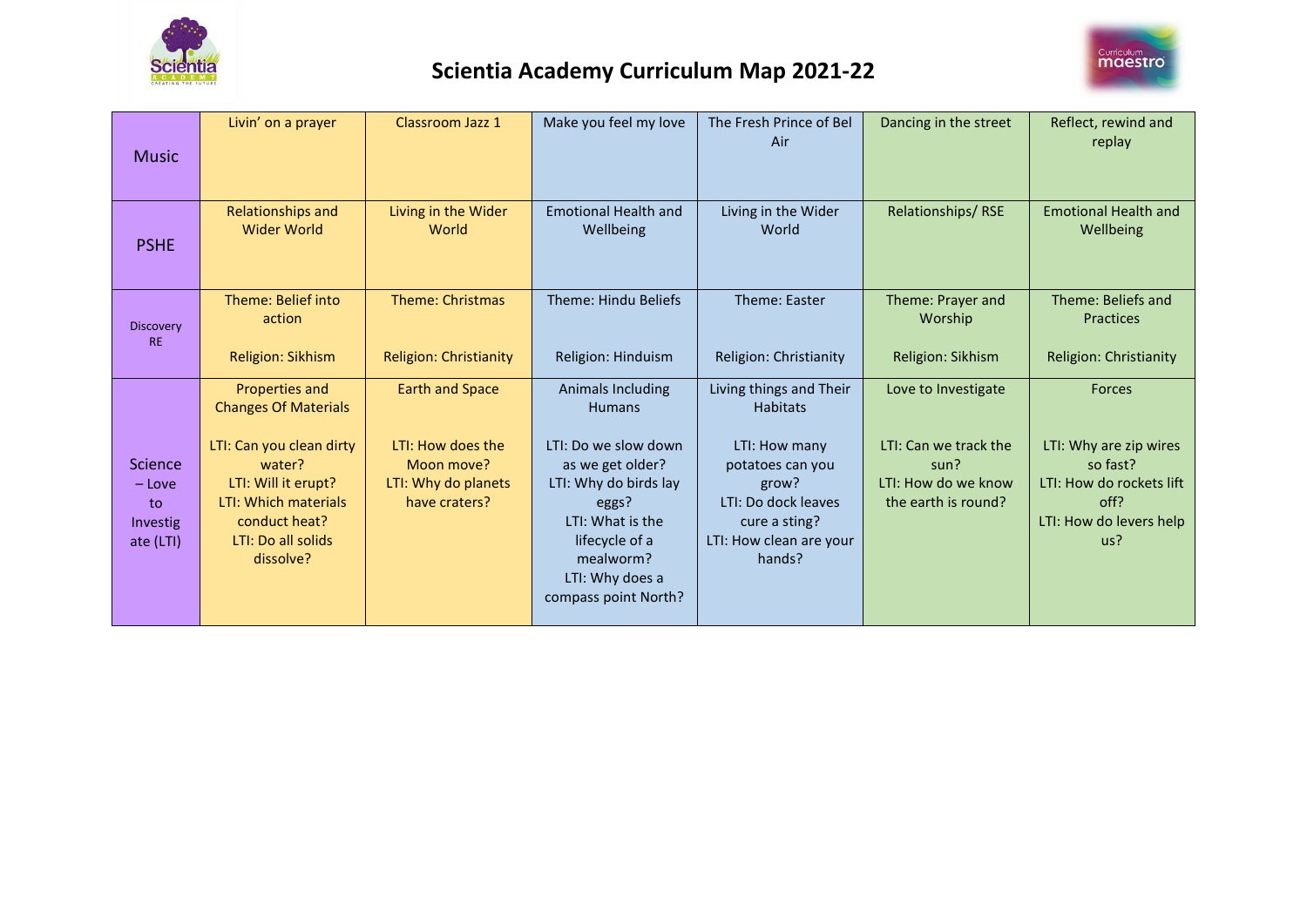



| <b>Music</b>                                       | Livin' on a prayer                                                                                                                                                                            | Classroom Jazz 1                                                                                  | Make you feel my love                                                                                                                                                                                                 | The Fresh Prince of Bel<br>Air                                                                                                                                        | Dancing in the street                                                                              | Reflect, rewind and<br>replay                                                                                      |
|----------------------------------------------------|-----------------------------------------------------------------------------------------------------------------------------------------------------------------------------------------------|---------------------------------------------------------------------------------------------------|-----------------------------------------------------------------------------------------------------------------------------------------------------------------------------------------------------------------------|-----------------------------------------------------------------------------------------------------------------------------------------------------------------------|----------------------------------------------------------------------------------------------------|--------------------------------------------------------------------------------------------------------------------|
| <b>PSHE</b>                                        | Relationships and<br>Wider World                                                                                                                                                              | Living in the Wider<br>World                                                                      | <b>Emotional Health and</b><br>Wellbeing                                                                                                                                                                              | Living in the Wider<br>World                                                                                                                                          | Relationships/RSE                                                                                  | <b>Emotional Health and</b><br>Wellbeing                                                                           |
| <b>Discovery</b><br><b>RE</b>                      | Theme: Belief into<br>action<br>Religion: Sikhism                                                                                                                                             | <b>Theme: Christmas</b><br><b>Religion: Christianity</b>                                          | Theme: Hindu Beliefs<br>Religion: Hinduism                                                                                                                                                                            | Theme: Easter<br>Religion: Christianity                                                                                                                               | Theme: Prayer and<br>Worship<br>Religion: Sikhism                                                  | Theme: Beliefs and<br>Practices<br>Religion: Christianity                                                          |
| Science<br>$-$ Love<br>to<br>Investig<br>ate (LTI) | Properties and<br><b>Changes Of Materials</b><br>LTI: Can you clean dirty<br>water?<br>LTI: Will it erupt?<br><b>LTI: Which materials</b><br>conduct heat?<br>LTI: Do all solids<br>dissolve? | <b>Earth and Space</b><br>LTI: How does the<br>Moon move?<br>LTI: Why do planets<br>have craters? | <b>Animals Including</b><br><b>Humans</b><br>LTI: Do we slow down<br>as we get older?<br>LTI: Why do birds lay<br>eggs?<br>LTI: What is the<br>lifecycle of a<br>mealworm?<br>LTI: Why does a<br>compass point North? | Living things and Their<br><b>Habitats</b><br>LTI: How many<br>potatoes can you<br>grow?<br>LTI: Do dock leaves<br>cure a sting?<br>LTI: How clean are your<br>hands? | Love to Investigate<br>LTI: Can we track the<br>sun?<br>LTI: How do we know<br>the earth is round? | Forces<br>LTI: Why are zip wires<br>so fast?<br>LTI: How do rockets lift<br>off?<br>LTI: How do levers help<br>us? |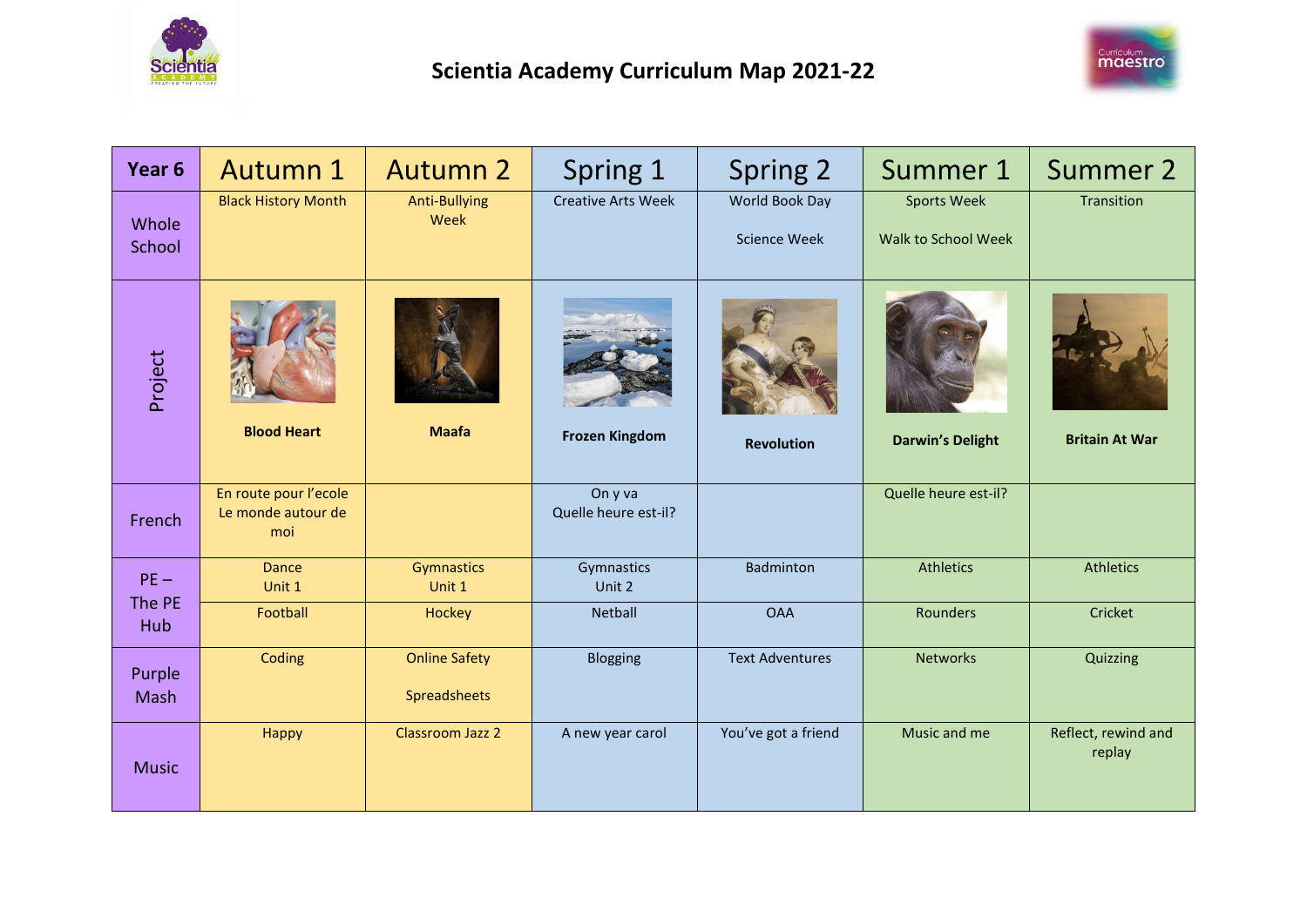



| Year <sub>6</sub> | <b>Autumn 1</b>                                    | <b>Autumn 2</b>                      | Spring 1                        | Spring 2                              | Summer 1                                  | <b>Summer 2</b>               |
|-------------------|----------------------------------------------------|--------------------------------------|---------------------------------|---------------------------------------|-------------------------------------------|-------------------------------|
| Whole<br>School   | <b>Black History Month</b>                         | <b>Anti-Bullying</b><br>Week         | <b>Creative Arts Week</b>       | World Book Day<br><b>Science Week</b> | <b>Sports Week</b><br>Walk to School Week | Transition                    |
| Project           | <b>Blood Heart</b>                                 | <b>Maafa</b>                         | <b>Frozen Kingdom</b>           | <b>Revolution</b>                     | <b>Darwin's Delight</b>                   | <b>Britain At War</b>         |
| French            | En route pour l'ecole<br>Le monde autour de<br>moi |                                      | On y va<br>Quelle heure est-il? |                                       | Quelle heure est-il?                      |                               |
| $PE -$            | <b>Dance</b><br>Unit 1                             | Gymnastics<br>Unit 1                 | Gymnastics<br>Unit 2            | <b>Badminton</b>                      | <b>Athletics</b>                          | <b>Athletics</b>              |
| The PE<br>Hub     | Football                                           | <b>Hockey</b>                        | <b>Netball</b>                  | <b>OAA</b>                            | <b>Rounders</b>                           | Cricket                       |
| Purple<br>Mash    | Coding                                             | <b>Online Safety</b><br>Spreadsheets | Blogging                        | <b>Text Adventures</b>                | <b>Networks</b>                           | Quizzing                      |
| <b>Music</b>      | Happy                                              | <b>Classroom Jazz 2</b>              | A new year carol                | You've got a friend                   | Music and me                              | Reflect, rewind and<br>replay |